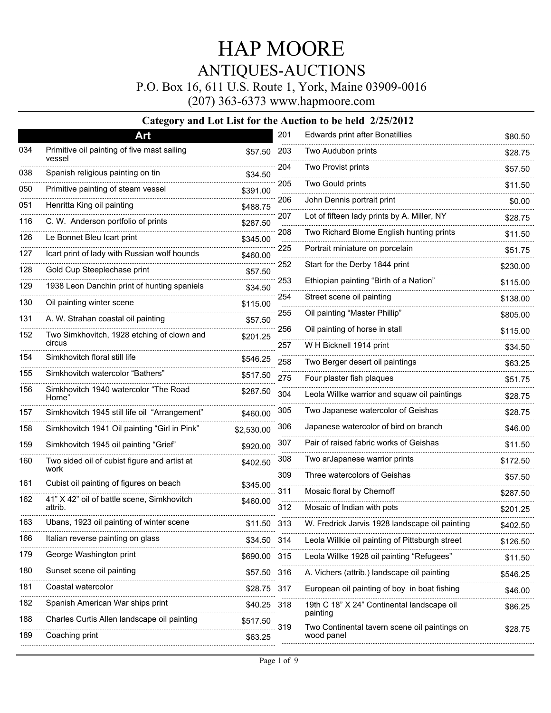P.O. Box 16, 611 U.S. Route 1, York, Maine 03909-0016

(207) 363-6373 www.hapmoore.com

|     | Art                                                   |              | 201  | Edwards print after Bonatillies                        | \$80.50  |
|-----|-------------------------------------------------------|--------------|------|--------------------------------------------------------|----------|
| 034 | Primitive oil painting of five mast sailing<br>vessel | \$57.50      | 203  | Two Audubon prints                                     | \$28.75  |
| 038 | Spanish religious painting on tin                     | \$34.50      | 204  | Two Provist prints                                     | \$57.50  |
| 050 | Primitive painting of steam vessel                    | \$391.00     | 205  | Two Gould prints                                       | \$11.50  |
| 051 | Henritta King oil painting                            | \$488.75     | 206  | John Dennis portrait print                             | \$0.00   |
| 116 | C. W. Anderson portfolio of prints                    | \$287.50     | 207  | Lot of fifteen lady prints by A. Miller, NY            | \$28.75  |
| 126 | Le Bonnet Bleu Icart print                            | \$345.00     | 208  | Two Richard Blome English hunting prints               | \$11.50  |
| 127 | Icart print of lady with Russian wolf hounds          | \$460.00     | 225  | Portrait miniature on porcelain                        | \$51.75  |
| 128 | Gold Cup Steeplechase print                           | \$57.50      | 252  | Start for the Derby 1844 print                         | \$230.00 |
| 129 | 1938 Leon Danchin print of hunting spaniels           | \$34.50      | 253  | Ethiopian painting "Birth of a Nation"                 | \$115.00 |
| 130 | Oil painting winter scene                             | \$115.00     | 254  | Street scene oil painting                              | \$138.00 |
| 131 | A. W. Strahan coastal oil painting                    | \$57.50      | 255  | Oil painting "Master Phillip"                          | \$805.00 |
| 152 | Two Simkhovitch, 1928 etching of clown and            | \$201.25     | 256  | Oil painting of horse in stall                         | \$115.00 |
|     | circus                                                |              | 257  | W H Bicknell 1914 print                                | \$34.50  |
| 154 | Simkhovitch floral still life                         | \$546.25     | 258  | Two Berger desert oil paintings                        | \$63.25  |
| 155 | Simkhovitch watercolor "Bathers"                      | \$517.50     | 275  | Four plaster fish plaques                              | \$51.75  |
| 156 | Simkhovitch 1940 watercolor "The Road<br>Home"        | \$287.50     | 304  | Leola Willke warrior and squaw oil paintings           | \$28.75  |
| 157 | Simkhovitch 1945 still life oil "Arrangement"         | \$460.00     | 305  | Two Japanese watercolor of Geishas                     | \$28.75  |
| 158 | Simkhovitch 1941 Oil painting "Girl in Pink"          | \$2,530.00   | 306  | Japanese watercolor of bird on branch                  | \$46.00  |
| 159 | Simkhovitch 1945 oil painting "Grief"                 | \$920.00     | 307  | Pair of raised fabric works of Geishas                 | \$11.50  |
| 160 | Two sided oil of cubist figure and artist at<br>work  | \$402.50     | 308  | Two arJapanese warrior prints                          | \$172.50 |
| 161 | Cubist oil painting of figures on beach               | \$345.00     | 309  | Three watercolors of Geishas                           | \$57.50  |
| 162 | 41" X 42" oil of battle scene, Simkhovitch            | \$460.00     | 311  | Mosaic floral by Chernoff                              | \$287.50 |
|     | attrib.                                               |              | 312  | Mosaic of Indian with pots                             | \$201.25 |
| 163 | Ubans, 1923 oil painting of winter scene              | \$11.50      | 313  | W. Fredrick Jarvis 1928 landscape oil painting         | \$402.50 |
| 166 | Italian reverse painting on glass                     | \$34.50 314  |      | Leola Willkie oil painting of Pittsburgh street        | \$126.50 |
| 179 | George Washington print                               | \$690.00     | 315  | Leola Willke 1928 oil painting "Refugees"              | \$11.50  |
| 180 | Sunset scene oil painting                             | \$57.50      | 316  | A. Vichers (attrib.) landscape oil painting            | \$546.25 |
| 181 | Coastal watercolor                                    | \$28.75      | -317 | European oil painting of boy in boat fishing           | \$46.00  |
| 182 | Spanish American War ships print                      | \$40.25<br>. | -318 | 19th C 18" X 24" Continental landscape oil<br>painting | \$86.25  |
| 188 | Charles Curtis Allen landscape oil painting           | \$517.50     | 319  | Two Continental tavern scene oil paintings on          | \$28.75  |
| 189 | Coaching print                                        | \$63.25      |      | wood panel                                             |          |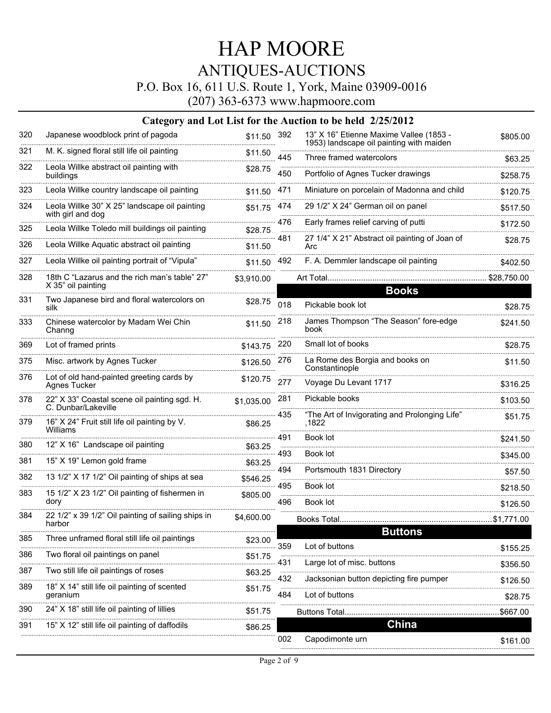P.O. Box 16, 611 U.S. Route 1, York, Maine 03909-0016

(207) 363-6373 www.hapmoore.com

| 320 | Japanese woodblock print of pagoda                                  | \$11.50 392 |          | 13" X 16" Etienne Maxime Vallee (1853 -<br>1953) landscape oil painting with maiden | \$805.00   |
|-----|---------------------------------------------------------------------|-------------|----------|-------------------------------------------------------------------------------------|------------|
| 321 | M. K. signed floral still life oil painting                         | \$11.50     | 445      | Three framed watercolors                                                            | \$63.25    |
| 322 | Leola Willke abstract oil painting with<br>buildings                | \$28.75     | 450      | Portfolio of Agnes Tucker drawings                                                  | \$258.75   |
| 323 | Leola Willke country landscape oil painting                         | \$11.50     | 471      | Miniature on porcelain of Madonna and child                                         | \$120.75   |
| 324 | Leola Willke 30" X 25" landscape oil painting<br>with girl and dog  | \$51.75     | 474      | 29 1/2" X 24" German oil on panel                                                   | \$517.50   |
| 325 | Leola Willke Toledo mill buildings oil painting                     | \$28.75     | 476      | Early frames relief carving of putti                                                | \$172.50   |
| 326 | Leola Willke Aquatic abstract oil painting                          | \$11.50     | $-481$   | 27 1/4" X 21" Abstract oil painting of Joan of<br>Arc                               | \$28.75    |
| 327 | Leola Willke oil painting portrait of "Vipula"                      | \$11.50 492 |          | F. A. Demmler landscape oil painting                                                | \$402.50   |
| 328 | 18th C "Lazarus and the rich man's table" 27"<br>X 35" oil painting | \$3,910.00  |          |                                                                                     |            |
| 331 | Two Japanese bird and floral watercolors on                         | \$28.75     |          | <b>Books</b>                                                                        |            |
|     | silk                                                                |             | 018      | Pickable book lot                                                                   | \$28.75    |
| 333 | Chinese watercolor by Madam Wei Chin<br>Channg                      | \$11.50     | 218      | James Thompson "The Season" fore-edge<br>book                                       | \$241.50   |
| 369 | Lot of framed prints                                                | \$143.75    | 220      | Small lot of books                                                                  | \$28.75    |
| 375 | Misc. artwork by Agnes Tucker                                       | \$126.50    | 276      | La Rome des Borgia and books on<br>Constantinople                                   | \$11.50    |
| 376 | Lot of old hand-painted greeting cards by<br>Agnes Tucker           | \$120.75    | 277      | Voyage Du Levant 1717                                                               | \$316.25   |
| 378 | 22" X 33" Coastal scene oil painting sgd. H.<br>C. Dunbar/Lakeville | \$1,035.00  | 281      | Pickable books                                                                      | \$103.50   |
| 379 | 16" X 24" Fruit still life oil painting by V.<br>Williams           | \$86.25     | 435      | "The Art of Invigorating and Prolonging Life"<br>.1822                              | \$51.75    |
| 380 | 12" X 16" Landscape oil painting                                    | \$63.25     | 491<br>. | Book lot                                                                            | \$241.50   |
| 381 | 15" X 19" Lemon gold frame                                          | \$63.25     | 493      | Book lot                                                                            | \$345.00   |
| 382 | 13 1/2" X 17 1/2" Oil painting of ships at sea                      | \$546.25    | 494<br>. | Portsmouth 1831 Directory                                                           | \$57.50    |
| 383 | 15 1/2" X 23 1/2" Oil painting of fishermen in                      | \$805.00    | 495      | Book lot                                                                            | \$218.50   |
|     | dory                                                                |             | 496      | Book lot                                                                            | \$126.50   |
| 384 | 22 1/2" x 39 1/2" Oil painting of sailing ships in<br>harbor        | \$4,600.00  |          | Books Total                                                                         | \$1,771.00 |
| 385 | Three unframed floral still life oil paintings                      | \$23.00     |          | <b>Buttons</b>                                                                      |            |
| 386 | Two floral oil paintings on panel                                   | \$51.75     | 359      | Lot of buttons                                                                      | \$155.25   |
| 387 | Two still life oil paintings of roses                               | \$63.25     | 431      | Large lot of misc. buttons                                                          | \$356.50   |
| 389 | 18" X 14" still life oil painting of scented                        | \$51.75     | 432      | Jacksonian button depicting fire pumper                                             | \$126.50   |
|     | geranium                                                            |             | 484      | Lot of buttons                                                                      | \$28.75    |
| 390 | 24" X 18" still life oil painting of lillies                        | \$51.75     |          | Buttons Total.                                                                      | .\$667.00  |
| 391 | 15" X 12" still life oil painting of daffodils                      | \$86.25     |          | <b>China</b>                                                                        |            |
|     |                                                                     |             | 002      | Capodimonte urn                                                                     | \$161.00   |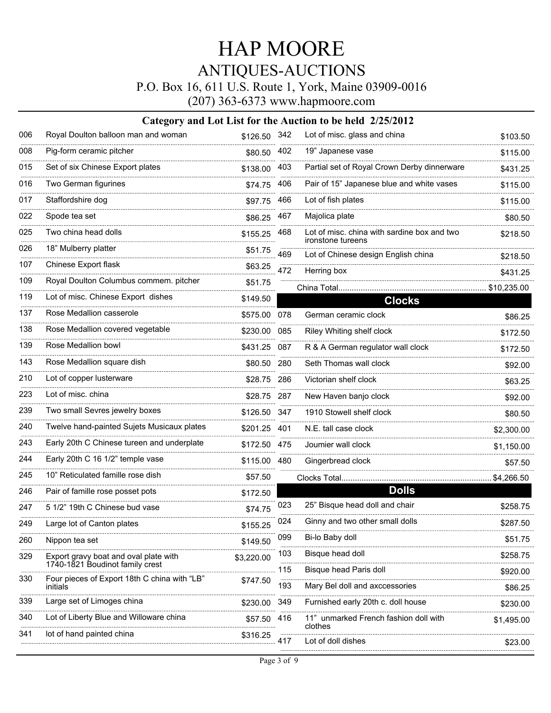P.O. Box 16, 611 U.S. Route 1, York, Maine 03909-0016

(207) 363-6373 www.hapmoore.com

| 006 | Royal Doulton balloon man and woman                                      | \$126.50 342 |            | Lot of misc. glass and china                                     | \$103.50            |
|-----|--------------------------------------------------------------------------|--------------|------------|------------------------------------------------------------------|---------------------|
| 008 | Pig-form ceramic pitcher                                                 | \$80.50 402  |            | 19" Japanese vase                                                | \$115.00            |
| 015 | Set of six Chinese Export plates                                         | \$138.00     | 403        | Partial set of Royal Crown Derby dinnerware                      | \$431.25            |
| 016 | Two German figurines                                                     | \$74.75      | 406        | Pair of 15" Japanese blue and white vases                        | \$115.00            |
| 017 | Staffordshire dog                                                        | \$97.75      | 466        | Lot of fish plates                                               | \$115.00            |
| 022 | Spode tea set                                                            | \$86.25      | 467        | Majolica plate                                                   | \$80.50             |
| 025 | Two china head dolls                                                     | \$155.25     | 468        | Lot of misc. china with sardine box and two<br>ironstone tureens | \$218.50            |
| 026 | 18" Mulberry platter                                                     | \$51.75      | 469        | Lot of Chinese design English china                              | \$218.50            |
| 107 | Chinese Export flask                                                     | \$63.25      | 472        | Herring box                                                      | \$431.25            |
| 109 | Royal Doulton Columbus commem. pitcher                                   | \$51.75      |            | China Total                                                      | \$10,235.00         |
| 119 | Lot of misc. Chinese Export dishes                                       | \$149.50     |            | <b>Clocks</b>                                                    |                     |
| 137 | Rose Medallion casserole                                                 | \$575.00 078 |            | German ceramic clock                                             | \$86.25             |
| 138 | Rose Medallion covered vegetable                                         | \$230.00     | 085        | Riley Whiting shelf clock                                        | \$172.50            |
| 139 | Rose Medallion bowl                                                      | \$431.25     | 087        | R & A German regulator wall clock                                | \$172.50            |
| 143 | Rose Medallion square dish                                               | \$80.50      | 280        | Seth Thomas wall clock                                           | \$92.00             |
| 210 | Lot of copper lusterware                                                 | \$28.75      | 286        | Victorian shelf clock                                            | \$63.25             |
| 223 | Lot of misc. china                                                       | \$28.75 287  |            | New Haven banjo clock                                            | \$92.00             |
| 239 | Two small Sevres jewelry boxes                                           | \$126.50 347 |            | 1910 Stowell shelf clock                                         | \$80.50             |
| 240 | Twelve hand-painted Sujets Musicaux plates                               | \$201.25 401 |            | N.E. tall case clock                                             | \$2,300.00          |
| 243 | Early 20th C Chinese tureen and underplate                               | \$172.50 475 |            | Joumier wall clock                                               | \$1,150.00          |
| 244 | Early 20th C 16 1/2" temple vase                                         | \$115.00     | 480        | Gingerbread clock                                                | \$57.50             |
| 245 | 10" Reticulated famille rose dish                                        | \$57.50      |            |                                                                  | \$4,266.50          |
| 246 | Pair of famille rose posset pots                                         | \$172.50     |            | <b>Dolls</b>                                                     |                     |
| 247 | 5 1/2" 19th C Chinese bud vase                                           | \$74.75      | 023        | 25" Bisque head doll and chair                                   | \$258.75            |
| 249 | Large lot of Canton plates                                               | \$155.25     | 024        | Ginny and two other small dolls                                  | \$287.50            |
| 260 | Nippon tea set                                                           | \$149.50     | 099        | Bi-lo Baby doll                                                  | \$51.75             |
| 329 | Export gravy boat and oval plate with<br>1740-1821 Boudinot family crest | \$3,220.00   | 103        | Bisque head doll                                                 | \$258.75            |
| 330 | Four pieces of Export 18th C china with "LB"<br>initials                 | \$747.50     | 115<br>193 | Bisque head Paris doll<br>Mary Bel doll and axccessories         | \$920.00<br>\$86.25 |
| 339 | Large set of Limoges china                                               | \$230.00     | 349        | Furnished early 20th c. doll house                               | \$230.00            |
| 340 | Lot of Liberty Blue and Willoware china                                  | \$57.50      | 416        | 11" unmarked French fashion doll with                            | \$1,495.00          |
| 341 | lot of hand painted china                                                | \$316.25     | 417        | clothes<br>Lot of doll dishes                                    |                     |
|     |                                                                          |              |            |                                                                  | \$23.00             |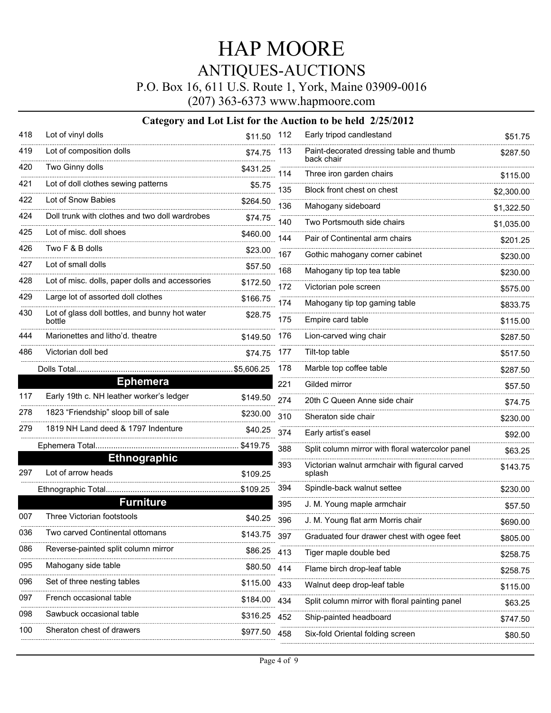P.O. Box 16, 611 U.S. Route 1, York, Maine 03909-0016

(207) 363-6373 www.hapmoore.com

| 418 | Lot of vinyl dolls                              | \$11.50 112   |      | Early tripod candlestand                                  | \$51.75    |
|-----|-------------------------------------------------|---------------|------|-----------------------------------------------------------|------------|
| 419 | Lot of composition dolls                        | \$74.75       | 113  | Paint-decorated dressing table and thumb<br>back chair    | \$287.50   |
| 420 | Two Ginny dolls                                 | \$431.25<br>. | 114  | Three iron garden chairs                                  | \$115.00   |
| 421 | Lot of doll clothes sewing patterns             | \$5.75        | 135  | Block front chest on chest                                | \$2,300.00 |
| 422 | Lot of Snow Babies                              | \$264.50      | 136  | -----------------------------------<br>Mahogany sideboard | \$1,322.50 |
| 424 | Doll trunk with clothes and two doll wardrobes  | \$74.75       | 140  | Two Portsmouth side chairs                                | \$1,035.00 |
| 425 | Lot of misc. doll shoes                         | \$460.00      | 144  | Pair of Continental arm chairs                            | \$201.25   |
| 426 | Two F & B dolls                                 | \$23.00       | 167  | Gothic mahogany corner cabinet                            | \$230.00   |
| 427 | Lot of small dolls                              | \$57.50<br>.  | 168  | Mahogany tip top tea table                                | \$230.00   |
| 428 | Lot of misc. dolls, paper dolls and accessories | \$172.50      | 172  | Victorian pole screen                                     | \$575.00   |
| 429 | Large lot of assorted doll clothes              | \$166.75      | 174  | Mahogany tip top gaming table                             | \$833.75   |
| 430 | Lot of glass doll bottles, and bunny hot water  | \$28.75       | 175  | Empire card table                                         |            |
| 444 | bottle<br>Marionettes and litho'd. theatre      |               | 176  | Lion-carved wing chair                                    | \$115.00   |
| 486 | Victorian doll bed                              | \$149.50      | 177  | Tilt-top table                                            | \$287.50   |
|     |                                                 | \$74.75       | 178  | Marble top coffee table                                   | \$517.50   |
|     | <b>Ephemera</b>                                 |               | 221  | Gilded mirror                                             | \$287.50   |
| 117 | Early 19th c. NH leather worker's ledger        | \$149.50      |      |                                                           | \$57.50    |
| 278 | 1823 "Friendship" sloop bill of sale            | \$230.00      | 274  | 20th C Queen Anne side chair                              | \$74.75    |
| 279 | 1819 NH Land deed & 1797 Indenture              | \$40.25       | 310  | Sheraton side chair                                       | \$230.00   |
|     |                                                 |               | 374  | Early artist's easel                                      | \$92.00    |
|     | <b>Ethnographic</b>                             |               | 388  | Split column mirror with floral watercolor panel          | \$63.25    |
| 297 | Lot of arrow heads                              | \$109.25      | 393  | Victorian walnut armchair with figural carved<br>splash   | \$143.75   |
|     |                                                 |               | 394  | Spindle-back walnut settee                                | \$230.00   |
|     | <b>Furniture</b>                                |               | 395  | J. M. Young maple armchair                                | \$57.50    |
| 007 | Three Victorian footstools                      | \$40.25       | 396  | J. M. Young flat arm Morris chair                         | \$690.00   |
| 036 | Two carved Continental ottomans                 | \$143.75      | -397 | Graduated four drawer chest with ogee feet                | \$805.00   |
| 086 | Reverse-painted split column mirror             | \$86.25       | -413 | Tiger maple double bed                                    | \$258.75   |
| 095 | Mahogany side table                             | \$80.50       | 414  | Flame birch drop-leaf table                               | \$258.75   |
| 096 | Set of three nesting tables                     | \$115.00      | 433  | Walnut deep drop-leaf table                               | \$115.00   |
| 097 | French occasional table                         | \$184.00      | 434  | Split column mirror with floral painting panel            | \$63.25    |
| 098 | Sawbuck occasional table                        | \$316.25      | 452  | Ship-painted headboard                                    | \$747.50   |
| 100 | Sheraton chest of drawers                       | \$977.50      | 458  | Six-fold Oriental folding screen                          | \$80.50    |
|     |                                                 |               |      |                                                           |            |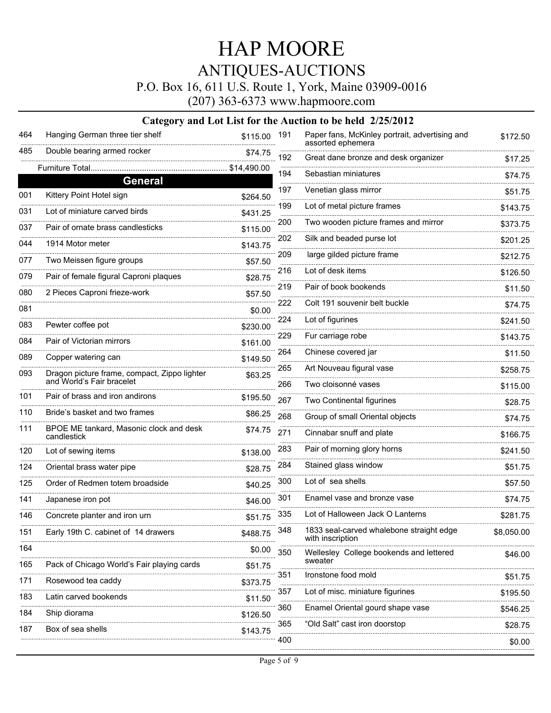P.O. Box 16, 611 U.S. Route 1, York, Maine 03909-0016

(207) 363-6373 www.hapmoore.com

| 464                  | Hanging German three tier shelf                        | \$115.00    | 191      | Paper fans, McKinley portrait, advertising and<br>assorted ephemera | \$172.50   |
|----------------------|--------------------------------------------------------|-------------|----------|---------------------------------------------------------------------|------------|
| 485                  | Double bearing armed rocker                            | \$74.75     | 192      | Great dane bronze and desk organizer                                | \$17.25    |
|                      | Furniture Total                                        | \$14,490.00 | 194      | Sebastian miniatures                                                | \$74.75    |
|                      | General                                                |             | 197      | Venetian glass mirror                                               | \$51.75    |
| 001                  | Kittery Point Hotel sign                               | \$264.50    | .<br>199 | Lot of metal picture frames                                         | \$143.75   |
| 031                  | Lot of miniature carved birds                          | \$431.25    | 200      | Two wooden picture frames and mirror                                | \$373.75   |
| 037                  | Pair of ornate brass candlesticks                      | \$115.00    | 202      | Silk and beaded purse lot                                           |            |
| 044                  | 1914 Motor meter                                       | \$143.75    | 209      | large gilded picture frame                                          | \$201.25   |
| 077                  | Two Meissen figure groups                              | \$57.50     | 216      | Lot of desk items                                                   | \$212.75   |
| 079                  | Pair of female figural Caproni plaques                 | \$28.75     |          |                                                                     | \$126.50   |
| 080                  | 2 Pieces Caproni frieze-work                           | \$57.50     | 219      | Pair of book bookends                                               | \$11.50    |
| 081                  |                                                        | \$0.00      | 222      | Colt 191 souvenir belt buckle                                       | \$74.75    |
| 083                  | Pewter coffee pot                                      | \$230.00    | 224      | Lot of figurines                                                    | \$241.50   |
| 084                  | Pair of Victorian mirrors                              | \$161.00    | 229      | Fur carriage robe                                                   | \$143.75   |
| 089                  | Copper watering can                                    | \$149.50    | 264      | Chinese covered jar                                                 | \$11.50    |
| 093                  | Dragon picture frame, compact, Zippo lighter           | \$63.25     | 265      | Art Nouveau figural vase                                            | \$258.75   |
|                      | and World's Fair bracelet                              |             | 266      | Two cloisonné vases                                                 | \$115.00   |
| 101                  | Pair of brass and iron andirons                        | \$195.50    | 267      | Two Continental figurines                                           | \$28.75    |
| 110                  | Bride's basket and two frames                          | \$86.25     | 268      | Group of small Oriental objects                                     | \$74.75    |
| 111                  | BPOE ME tankard, Masonic clock and desk<br>candlestick | \$74.75     | 271      | Cinnabar snuff and plate                                            | \$166.75   |
| 120                  | Lot of sewing items                                    | \$138.00    | 283      | Pair of morning glory horns                                         | \$241.50   |
| 124                  | Oriental brass water pipe                              | \$28.75     | 284      | Stained glass window                                                | \$51.75    |
| 125                  | Order of Redmen totem broadside                        | \$40.25     | 300      | Lot of sea shells                                                   | \$57.50    |
| 141                  | Japanese iron pot                                      | \$46.00     | 301      | Enamel vase and bronze vase                                         | \$74.75    |
| 146                  | Concrete planter and iron urn                          | \$51.75     | 335      | Lot of Halloween Jack O Lanterns                                    | \$281.75   |
|                      | Early 19th C. cabinet of 14 drawers                    | \$488.75    | 348      | 1833 seal-carved whalebone straight edge<br>with inscription        | \$8,050.00 |
| 164                  |                                                        | \$0.00      | 350      | Wellesley College bookends and lettered                             | \$46.00    |
| 165                  | Pack of Chicago World's Fair playing cards             | \$51.75     |          | sweater                                                             |            |
| $- - - - - -$<br>171 | Rosewood tea caddy                                     | \$373.75    | 351      | Ironstone food mold                                                 | \$51.75    |
| 183                  | Latin carved bookends                                  | \$11.50     | 357      | Lot of misc. miniature figurines                                    | \$195.50   |
| 184                  | Ship diorama                                           | \$126.50    | 360      | Enamel Oriental gourd shape vase                                    | \$546.25   |
| 187                  | Box of sea shells                                      | \$143.75    | 365      | "Old Salt" cast iron doorstop                                       | \$28.75    |
|                      |                                                        |             | 400      |                                                                     | \$0.00     |
|                      |                                                        |             |          |                                                                     |            |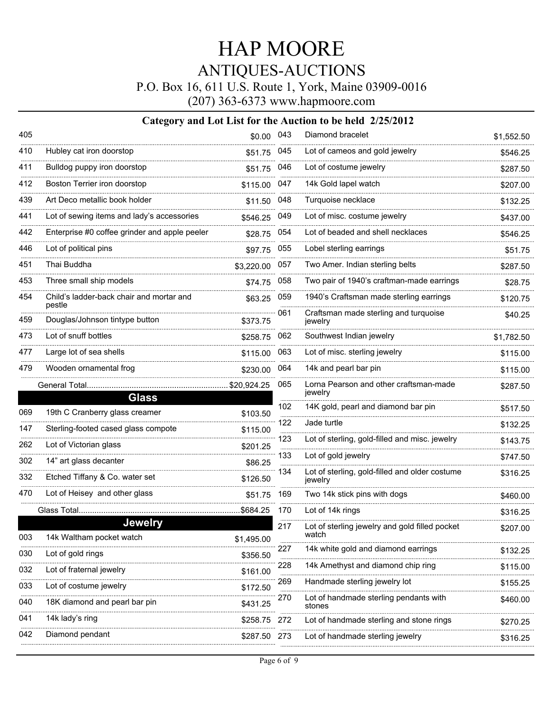P.O. Box 16, 611 U.S. Route 1, York, Maine 03909-0016

(207) 363-6373 www.hapmoore.com

| 405      |                                                    | \$0.00 043  |     | Diamond bracelet                                        | \$1,552.50 |
|----------|----------------------------------------------------|-------------|-----|---------------------------------------------------------|------------|
| 410      | Hubley cat iron doorstop                           | \$51.75     | 045 | Lot of cameos and gold jewelry                          | \$546.25   |
| 411      | Bulldog puppy iron doorstop                        | \$51.75     | 046 | Lot of costume jewelry                                  | \$287.50   |
| 412      | Boston Terrier iron doorstop                       | \$115.00    | 047 | 14k Gold lapel watch                                    | \$207.00   |
| 439      | Art Deco metallic book holder                      | \$11.50     | 048 | Turquoise necklace                                      | \$132.25   |
| 441      | Lot of sewing items and lady's accessories         | \$546.25    | 049 | Lot of misc. costume jewelry                            | \$437.00   |
| 442      | Enterprise #0 coffee grinder and apple peeler      | \$28.75     | 054 | Lot of beaded and shell necklaces                       | \$546.25   |
| 446      | Lot of political pins                              | \$97.75     | 055 | Lobel sterling earrings                                 | \$51.75    |
| 451<br>. | Thai Buddha                                        | \$3,220.00  | 057 | Two Amer. Indian sterling belts                         | \$287.50   |
| 453      | Three small ship models                            | \$74.75     | 058 | Two pair of 1940's craftman-made earrings               | \$28.75    |
| 454      | Child's ladder-back chair and mortar and<br>pestle | \$63.25     | 059 | 1940's Craftsman made sterling earrings                 | \$120.75   |
| 459      | Douglas/Johnson tintype button                     | \$373.75    | 061 | Craftsman made sterling and turquoise<br>jewelry        | \$40.25    |
| 473      | Lot of snuff bottles                               | \$258.75    | 062 | Southwest Indian jewelry                                | \$1,782.50 |
| 477      | Large lot of sea shells                            | \$115.00    | 063 | Lot of misc. sterling jewelry                           | \$115.00   |
| 479      | Wooden ornamental frog                             | \$230.00    | 064 | 14k and pearl bar pin                                   | \$115.00   |
|          | General Total                                      | \$20,924.25 | 065 | Lorna Pearson and other craftsman-made<br>jewelry       | \$287.50   |
|          | <b>Glass</b>                                       |             | 102 | 14K gold, pearl and diamond bar pin                     | \$517.50   |
| 069      | 19th C Cranberry glass creamer                     | \$103.50    | 122 | Jade turtle                                             | \$132.25   |
| 147      | Sterling-footed cased glass compote                | \$115.00    | 123 | Lot of sterling, gold-filled and misc. jewelry          | \$143.75   |
| 262      | Lot of Victorian glass                             | \$201.25    | 133 | Lot of gold jewelry                                     | \$747.50   |
| 302      | 14" art glass decanter                             | \$86.25     | 134 | Lot of sterling, gold-filled and older costume          | \$316.25   |
| 332      | Etched Tiffany & Co. water set                     | \$126.50    |     | jewelry                                                 |            |
| 470      | Lot of Heisey and other glass                      | \$51.75     | 169 | Two 14k stick pins with dogs                            | \$460.00   |
|          | Glass Total                                        | .\$684.25   | 170 | Lot of 14k rings                                        | \$316.25   |
| 003      | <b>Jewelry</b><br>14k Waltham pocket watch         | \$1,495.00  | 217 | Lot of sterling jewelry and gold filled pocket<br>watch | \$207.00   |
| 030      | Lot of gold rings                                  | \$356.50    | 227 | 14k white gold and diamond earrings                     | \$132.25   |
| 032      | Lot of fraternal jewelry                           | \$161.00    | 228 | 14k Amethyst and diamond chip ring                      | \$115.00   |
| 033      | Lot of costume jewelry                             | \$172.50    | 269 | Handmade sterling jewelry lot                           | \$155.25   |
| 040      | 18K diamond and pearl bar pin                      | \$431.25    | 270 | Lot of handmade sterling pendants with<br>stones        | \$460.00   |
| 041      | 14k lady's ring                                    | \$258.75    | 272 | Lot of handmade sterling and stone rings                | \$270.25   |
| 042      | Diamond pendant                                    | \$287.50    | 273 | Lot of handmade sterling jewelry                        | \$316.25   |
|          |                                                    |             |     |                                                         |            |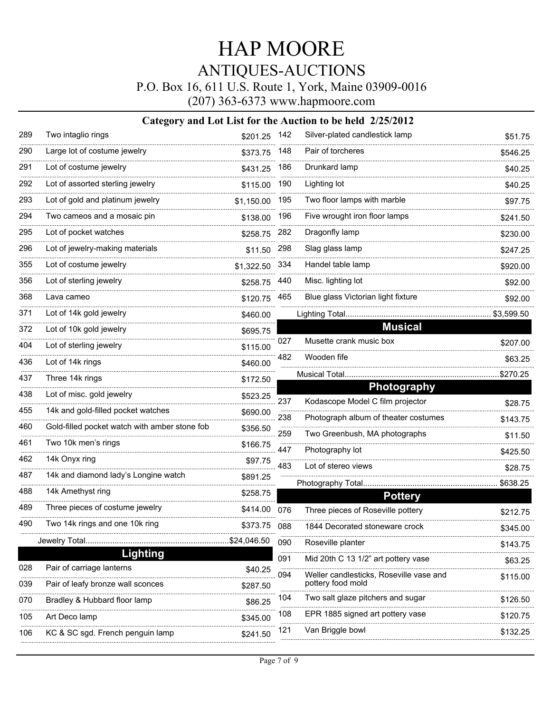P.O. Box 16, 611 U.S. Route 1, York, Maine 03909-0016

(207) 363-6373 www.hapmoore.com

| 289      | Two intaglio rings                            | \$201.25   | 142 | Silver-plated candlestick lamp          | \$51.75    |
|----------|-----------------------------------------------|------------|-----|-----------------------------------------|------------|
| 290      | Large lot of costume jewelry                  | \$373.75   | 148 | Pair of torcheres                       | \$546.25   |
| 291      | Lot of costume jewelry                        | \$431.25   | 186 | Drunkard lamp                           | \$40.25    |
| 292      | Lot of assorted sterling jewelry              | \$115.00   | 190 | Lighting lot                            | \$40.25    |
| 293      | Lot of gold and platinum jewelry              | \$1,150.00 | 195 | Two floor lamps with marble             | \$97.75    |
| 294      | Two cameos and a mosaic pin                   | \$138.00   | 196 | Five wrought iron floor lamps           | \$241.50   |
| 295      | Lot of pocket watches                         | \$258.75   | 282 | Dragonfly lamp                          | \$230.00   |
| 296      | Lot of jewelry-making materials               | \$11.50    | 298 | Slag glass lamp                         | \$247.25   |
| 355      | Lot of costume jewelry                        | \$1,322.50 | 334 | Handel table lamp                       | \$920.00   |
| .<br>356 | Lot of sterling jewelry                       | \$258.75   | 440 | Misc. lighting lot                      | \$92.00    |
| 368      | Lava cameo                                    | \$120.75   | 465 | Blue glass Victorian light fixture      | \$92.00    |
| 371      | Lot of 14k gold jewelry                       | \$460.00   |     |                                         | \$3,599.50 |
| 372      | Lot of 10k gold jewelry                       | \$695.75   |     | <b>Musical</b>                          |            |
| .<br>404 | Lot of sterling jewelry                       | \$115.00   | 027 | Musette crank music box                 | \$207.00   |
| 436      | Lot of 14k rings                              | \$460.00   | 482 | Wooden fife                             | \$63.25    |
| 437      | Three 14k rings                               | \$172.50   |     |                                         | \$270.25   |
| 438      | Lot of misc. gold jewelry                     | \$523.25   |     | <b>Photography</b>                      |            |
| 455      | 14k and gold-filled pocket watches            | \$690.00   | 237 | Kodascope Model C film projector        | \$28.75    |
| 460      | Gold-filled pocket watch with amber stone fob | \$356.50   | 238 | Photograph album of theater costumes    | \$143.75   |
| 461      | Two 10k men's rings                           | \$166.75   | 259 | Two Greenbush, MA photographs           | \$11.50    |
| 462      | 14k Onyx ring                                 | \$97.75    | 447 | Photography lot                         | \$425.50   |
| 487      | 14k and diamond lady's Longine watch          | \$891.25   | 483 | Lot of stereo views                     | \$28.75    |
| 488      | 14k Amethyst ring                             | \$258.75   |     | Photography Total<br><b>Pottery</b>     | \$638.25   |
| 489      | Three pieces of costume jewelry               | \$414.00   | 076 | Three pieces of Roseville pottery       | \$212.75   |
| 490      | Two 14k rings and one 10k ring                | \$373.75   | 088 | 1844 Decorated stoneware crock          | \$345.00   |
|          |                                               |            | 090 | Roseville planter                       | \$143.75   |
|          | Lighting                                      |            | 091 | Mid 20th C 13 1/2" art pottery vase     | \$63.25    |
| 028      | Pair of carriage lanterns                     | \$40.25    | 094 | Weller candlesticks, Roseville vase and | \$115.00   |
| 039      | Pair of leafy bronze wall sconces             | \$287.50   |     | pottery food mold                       |            |
| 070      | Bradley & Hubbard floor lamp                  | \$86.25    | 104 | Two salt glaze pitchers and sugar       | \$126.50   |
| 105      | Art Deco lamp                                 | \$345.00   | 108 | EPR 1885 signed art pottery vase        | \$120.75   |
| 106      | KC & SC sgd. French penguin lamp              | \$241.50   | 121 | Van Briggle bowl                        | \$132.25   |
|          |                                               |            |     |                                         |            |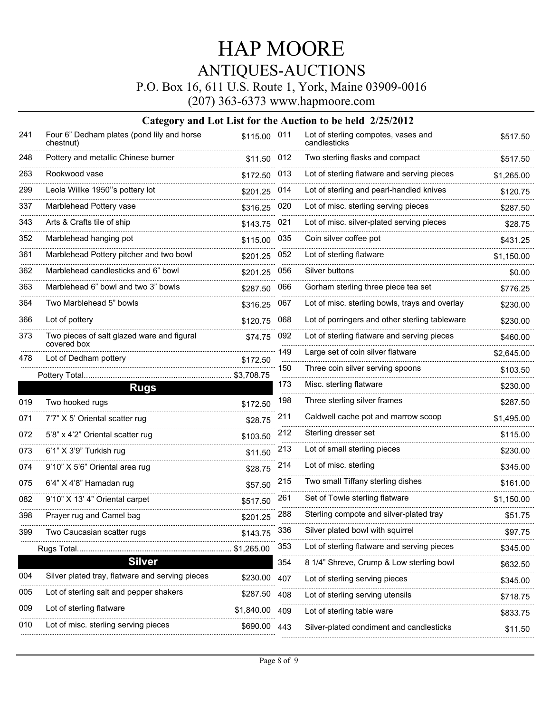P.O. Box 16, 611 U.S. Route 1, York, Maine 03909-0016

(207) 363-6373 www.hapmoore.com

| 241 | Four 6" Dedham plates (pond lily and horse<br>chestnut)   | \$115.00 011 |         | Lot of sterling compotes, vases and<br>candlesticks | \$517.50   |
|-----|-----------------------------------------------------------|--------------|---------|-----------------------------------------------------|------------|
| 248 | Pottery and metallic Chinese burner                       | \$11.50 012  |         | Two sterling flasks and compact                     | \$517.50   |
| 263 | Rookwood vase                                             | \$172.50     | 013     | Lot of sterling flatware and serving pieces         | \$1,265.00 |
| 299 | Leola Willke 1950"s pottery lot                           | \$201.25     | 014     | Lot of sterling and pearl-handled knives            | \$120.75   |
| 337 | Marblehead Pottery vase                                   | \$316.25     | 020     | Lot of misc. sterling serving pieces                | \$287.50   |
| 343 | Arts & Crafts tile of ship                                | \$143.75     | 021     | Lot of misc. silver-plated serving pieces           | \$28.75    |
| 352 | Marblehead hanging pot                                    | \$115.00     | 035     | Coin silver coffee pot                              | \$431.25   |
| 361 | Marblehead Pottery pitcher and two bowl                   | \$201.25     | 052     | Lot of sterling flatware                            | \$1,150.00 |
| 362 | Marblehead candlesticks and 6" bowl                       | \$201.25     | 056     | Silver buttons                                      | \$0.00     |
| 363 | Marblehead 6" bowl and two 3" bowls                       | \$287.50     | 066     | Gorham sterling three piece tea set                 | \$776.25   |
| 364 | Two Marblehead 5" bowls                                   | \$316.25     | 067     | Lot of misc. sterling bowls, trays and overlay      | \$230.00   |
| 366 | Lot of pottery                                            | \$120.75     | 068     | Lot of porringers and other sterling tableware      | \$230.00   |
| 373 | Two pieces of salt glazed ware and figural<br>covered box | \$74.75      | 092     | Lot of sterling flatware and serving pieces         | \$460.00   |
| 478 | Lot of Dedham pottery                                     | \$172.50     | 149     | Large set of coin silver flatware                   | \$2,645.00 |
|     | Pottery Total                                             |              | 150     | Three coin silver serving spoons                    | \$103.50   |
|     | <b>Rugs</b>                                               |              | 173     | Misc. sterling flatware                             | \$230.00   |
| 019 | Two hooked rugs                                           | \$172.50     | 198     | Three sterling silver frames                        | \$287.50   |
| 071 | 7'7" X 5' Oriental scatter rug                            | \$28.75      | 211     | Caldwell cache pot and marrow scoop                 | \$1,495.00 |
| 072 | 5'8" x 4'2" Oriental scatter rug                          | \$103.50     | $212\,$ | Sterling dresser set                                | \$115.00   |
| 073 | 6'1" X 3'9" Turkish rug                                   | \$11.50      | 213     | Lot of small sterling pieces                        | \$230.00   |
| 074 | 9'10" X 5'6" Oriental area rug                            | \$28.75      | 214     | Lot of misc. sterling                               | \$345.00   |
| 075 | 6'4" X 4'8" Hamadan rug                                   | \$57.50      | 215     | Two small Tiffany sterling dishes                   | \$161.00   |
| 082 | 9'10" X 13' 4" Oriental carpet                            | \$517.50     | 261     | Set of Towle sterling flatware                      | \$1,150.00 |
| 398 | Prayer rug and Camel bag                                  | \$201.25     | 288     | Sterling compote and silver-plated tray             | \$51.75    |
| 399 | Two Caucasian scatter rugs                                | \$143.75     | 336     | Silver plated bowl with squirrel                    | \$97.75    |
|     | Rugs Total                                                | \$1,265.00   | 353     | Lot of sterling flatware and serving pieces         | \$345.00   |
|     | <b>Silver</b>                                             |              | 354     | 8 1/4" Shreve, Crump & Low sterling bowl            | \$632.50   |
| 004 | Silver plated tray, flatware and serving pieces           | \$230.00     | 407     | Lot of sterling serving pieces                      | \$345.00   |
| 005 | Lot of sterling salt and pepper shakers                   | \$287.50     | 408     | Lot of sterling serving utensils                    | \$718.75   |
| 009 | Lot of sterling flatware                                  | \$1,840.00   | 409     | Lot of sterling table ware                          | \$833.75   |
| 010 | Lot of misc. sterling serving pieces                      | \$690.00     | 443     | Silver-plated condiment and candlesticks            | \$11.50    |